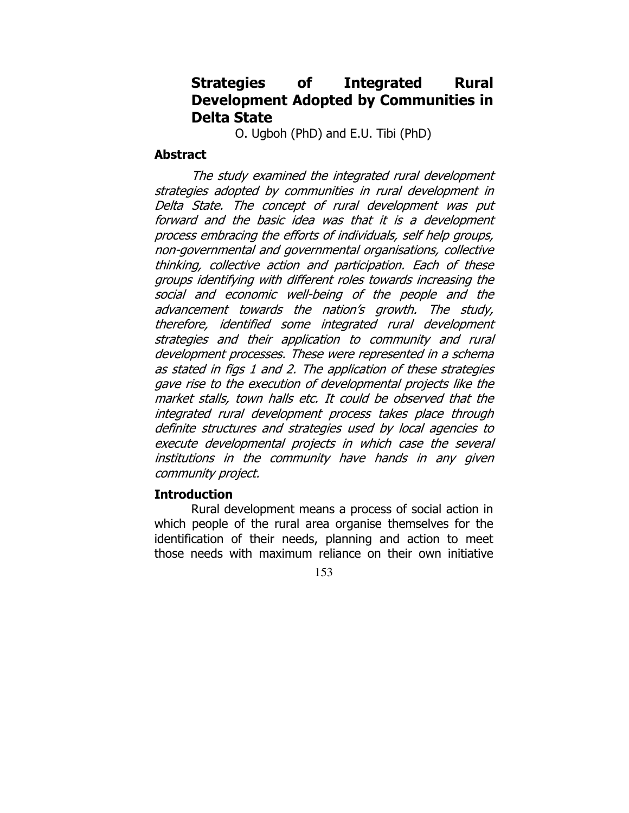# Strategies of Integrated Rural Development Adopted by Communities in Delta State

O. Ugboh (PhD) and E.U. Tibi (PhD)

### **Abstract**

 The study examined the integrated rural development strategies adopted by communities in rural development in Delta State. The concept of rural development was put forward and the basic idea was that it is a development process embracing the efforts of individuals, self help groups, non-governmental and governmental organisations, collective thinking, collective action and participation. Each of these groups identifying with different roles towards increasing the social and economic well-being of the people and the advancement towards the nation's growth. The study, therefore, identified some integrated rural development strategies and their application to community and rural development processes. These were represented in a schema as stated in figs 1 and 2. The application of these strategies gave rise to the execution of developmental projects like the market stalls, town halls etc. It could be observed that the integrated rural development process takes place through definite structures and strategies used by local agencies to execute developmental projects in which case the several institutions in the community have hands in any given community project.

#### **Introduction**

 Rural development means a process of social action in which people of the rural area organise themselves for the identification of their needs, planning and action to meet those needs with maximum reliance on their own initiative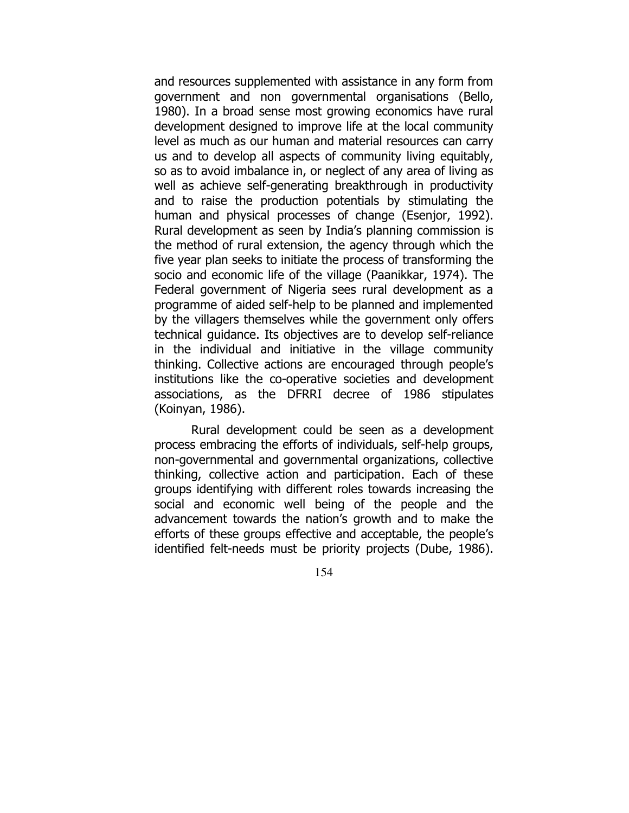and resources supplemented with assistance in any form from government and non governmental organisations (Bello, 1980). In a broad sense most growing economics have rural development designed to improve life at the local community level as much as our human and material resources can carry us and to develop all aspects of community living equitably, so as to avoid imbalance in, or neglect of any area of living as well as achieve self-generating breakthrough in productivity and to raise the production potentials by stimulating the human and physical processes of change (Esenjor, 1992). Rural development as seen by India's planning commission is the method of rural extension, the agency through which the five year plan seeks to initiate the process of transforming the socio and economic life of the village (Paanikkar, 1974). The Federal government of Nigeria sees rural development as a programme of aided self-help to be planned and implemented by the villagers themselves while the government only offers technical guidance. Its objectives are to develop self-reliance in the individual and initiative in the village community thinking. Collective actions are encouraged through people's institutions like the co-operative societies and development associations, as the DFRRI decree of 1986 stipulates (Koinyan, 1986).

 Rural development could be seen as a development process embracing the efforts of individuals, self-help groups, non-governmental and governmental organizations, collective thinking, collective action and participation. Each of these groups identifying with different roles towards increasing the social and economic well being of the people and the advancement towards the nation's growth and to make the efforts of these groups effective and acceptable, the people's identified felt-needs must be priority projects (Dube, 1986).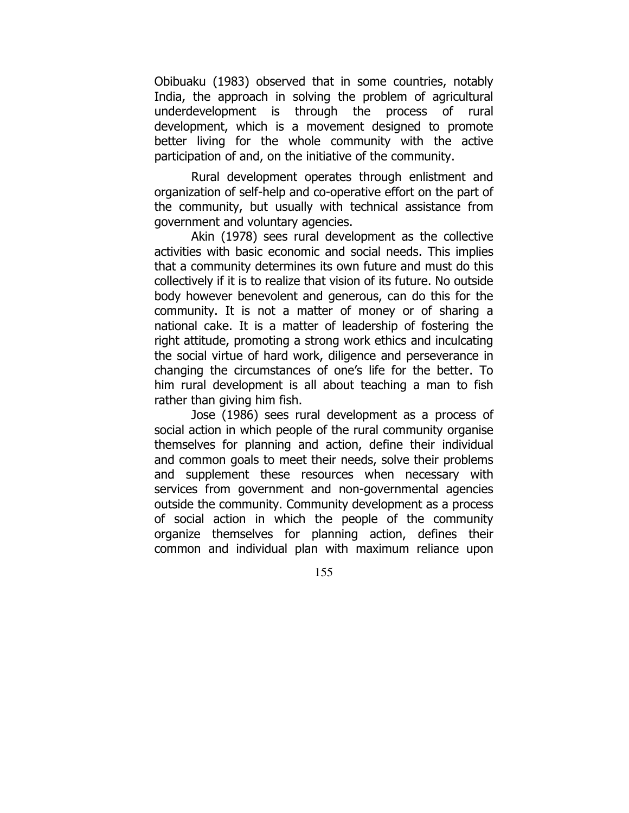Obibuaku (1983) observed that in some countries, notably India, the approach in solving the problem of agricultural underdevelopment is through the process of rural development, which is a movement designed to promote better living for the whole community with the active participation of and, on the initiative of the community.

 Rural development operates through enlistment and organization of self-help and co-operative effort on the part of the community, but usually with technical assistance from government and voluntary agencies.

 Akin (1978) sees rural development as the collective activities with basic economic and social needs. This implies that a community determines its own future and must do this collectively if it is to realize that vision of its future. No outside body however benevolent and generous, can do this for the community. It is not a matter of money or of sharing a national cake. It is a matter of leadership of fostering the right attitude, promoting a strong work ethics and inculcating the social virtue of hard work, diligence and perseverance in changing the circumstances of one's life for the better. To him rural development is all about teaching a man to fish rather than giving him fish.

 Jose (1986) sees rural development as a process of social action in which people of the rural community organise themselves for planning and action, define their individual and common goals to meet their needs, solve their problems and supplement these resources when necessary with services from government and non-governmental agencies outside the community. Community development as a process of social action in which the people of the community organize themselves for planning action, defines their common and individual plan with maximum reliance upon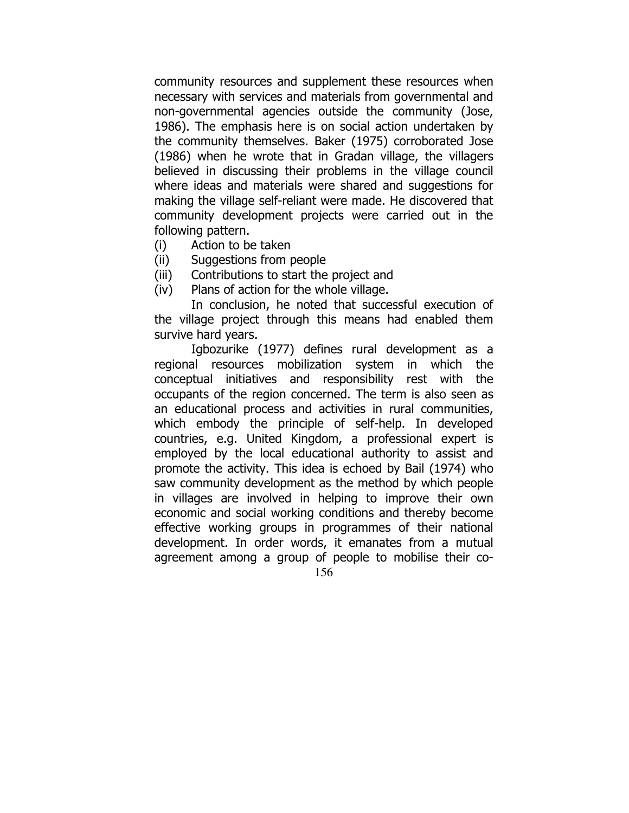community resources and supplement these resources when necessary with services and materials from governmental and non-governmental agencies outside the community (Jose, 1986). The emphasis here is on social action undertaken by the community themselves. Baker (1975) corroborated Jose (1986) when he wrote that in Gradan village, the villagers believed in discussing their problems in the village council where ideas and materials were shared and suggestions for making the village self-reliant were made. He discovered that community development projects were carried out in the following pattern.

- (i) Action to be taken
- (ii) Suggestions from people
- (iii) Contributions to start the project and
- (iv) Plans of action for the whole village.

In conclusion, he noted that successful execution of the village project through this means had enabled them survive hard years.

156 Igbozurike (1977) defines rural development as a regional resources mobilization system in which the conceptual initiatives and responsibility rest with the occupants of the region concerned. The term is also seen as an educational process and activities in rural communities, which embody the principle of self-help. In developed countries, e.g. United Kingdom, a professional expert is employed by the local educational authority to assist and promote the activity. This idea is echoed by Bail (1974) who saw community development as the method by which people in villages are involved in helping to improve their own economic and social working conditions and thereby become effective working groups in programmes of their national development. In order words, it emanates from a mutual agreement among a group of people to mobilise their co-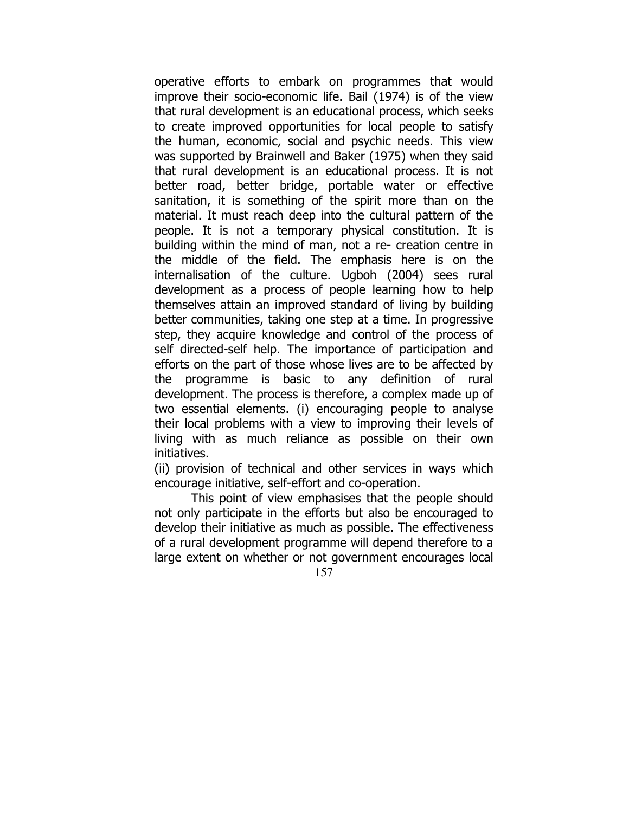operative efforts to embark on programmes that would improve their socio-economic life. Bail (1974) is of the view that rural development is an educational process, which seeks to create improved opportunities for local people to satisfy the human, economic, social and psychic needs. This view was supported by Brainwell and Baker (1975) when they said that rural development is an educational process. It is not better road, better bridge, portable water or effective sanitation, it is something of the spirit more than on the material. It must reach deep into the cultural pattern of the people. It is not a temporary physical constitution. It is building within the mind of man, not a re- creation centre in the middle of the field. The emphasis here is on the internalisation of the culture. Ugboh (2004) sees rural development as a process of people learning how to help themselves attain an improved standard of living by building better communities, taking one step at a time. In progressive step, they acquire knowledge and control of the process of self directed-self help. The importance of participation and efforts on the part of those whose lives are to be affected by the programme is basic to any definition of rural development. The process is therefore, a complex made up of two essential elements. (i) encouraging people to analyse their local problems with a view to improving their levels of living with as much reliance as possible on their own initiatives.

(ii) provision of technical and other services in ways which encourage initiative, self-effort and co-operation.

157 This point of view emphasises that the people should not only participate in the efforts but also be encouraged to develop their initiative as much as possible. The effectiveness of a rural development programme will depend therefore to a large extent on whether or not government encourages local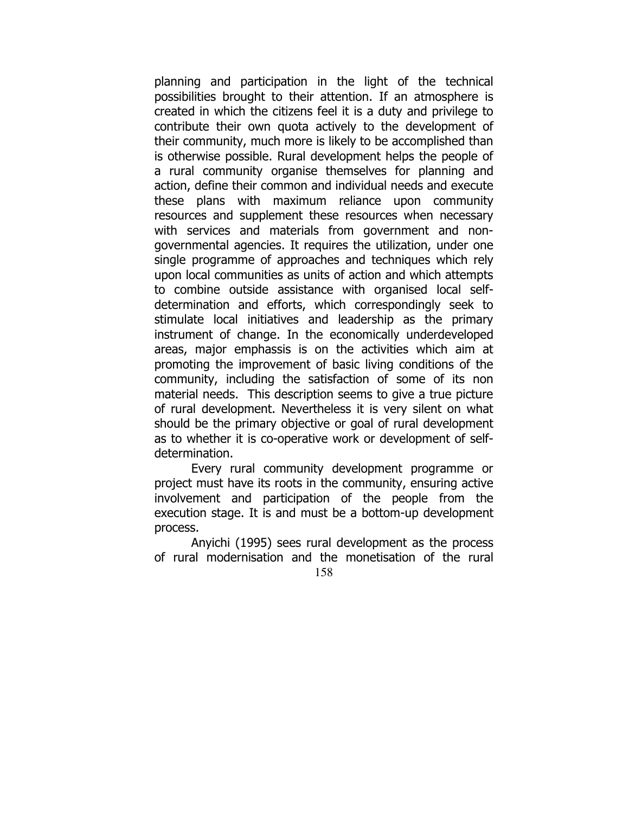planning and participation in the light of the technical possibilities brought to their attention. If an atmosphere is created in which the citizens feel it is a duty and privilege to contribute their own quota actively to the development of their community, much more is likely to be accomplished than is otherwise possible. Rural development helps the people of a rural community organise themselves for planning and action, define their common and individual needs and execute these plans with maximum reliance upon community resources and supplement these resources when necessary with services and materials from government and nongovernmental agencies. It requires the utilization, under one single programme of approaches and techniques which rely upon local communities as units of action and which attempts to combine outside assistance with organised local selfdetermination and efforts, which correspondingly seek to stimulate local initiatives and leadership as the primary instrument of change. In the economically underdeveloped areas, major emphassis is on the activities which aim at promoting the improvement of basic living conditions of the community, including the satisfaction of some of its non material needs. This description seems to give a true picture of rural development. Nevertheless it is very silent on what should be the primary objective or goal of rural development as to whether it is co-operative work or development of selfdetermination.

Every rural community development programme or project must have its roots in the community, ensuring active involvement and participation of the people from the execution stage. It is and must be a bottom-up development process.

158 Anyichi (1995) sees rural development as the process of rural modernisation and the monetisation of the rural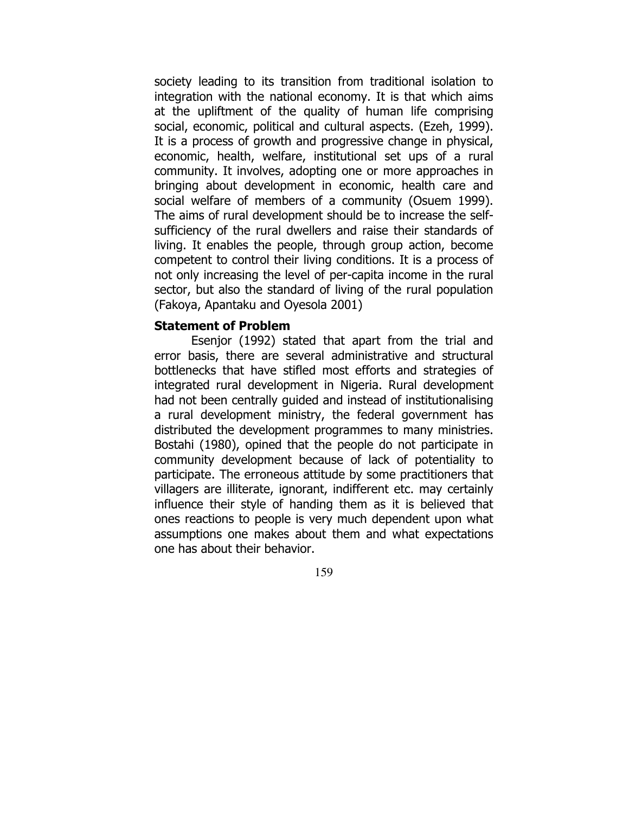society leading to its transition from traditional isolation to integration with the national economy. It is that which aims at the upliftment of the quality of human life comprising social, economic, political and cultural aspects. (Ezeh, 1999). It is a process of growth and progressive change in physical, economic, health, welfare, institutional set ups of a rural community. It involves, adopting one or more approaches in bringing about development in economic, health care and social welfare of members of a community (Osuem 1999). The aims of rural development should be to increase the selfsufficiency of the rural dwellers and raise their standards of living. It enables the people, through group action, become competent to control their living conditions. It is a process of not only increasing the level of per-capita income in the rural sector, but also the standard of living of the rural population (Fakoya, Apantaku and Oyesola 2001)

### Statement of Problem

 Esenjor (1992) stated that apart from the trial and error basis, there are several administrative and structural bottlenecks that have stifled most efforts and strategies of integrated rural development in Nigeria. Rural development had not been centrally guided and instead of institutionalising a rural development ministry, the federal government has distributed the development programmes to many ministries. Bostahi (1980), opined that the people do not participate in community development because of lack of potentiality to participate. The erroneous attitude by some practitioners that villagers are illiterate, ignorant, indifferent etc. may certainly influence their style of handing them as it is believed that ones reactions to people is very much dependent upon what assumptions one makes about them and what expectations one has about their behavior.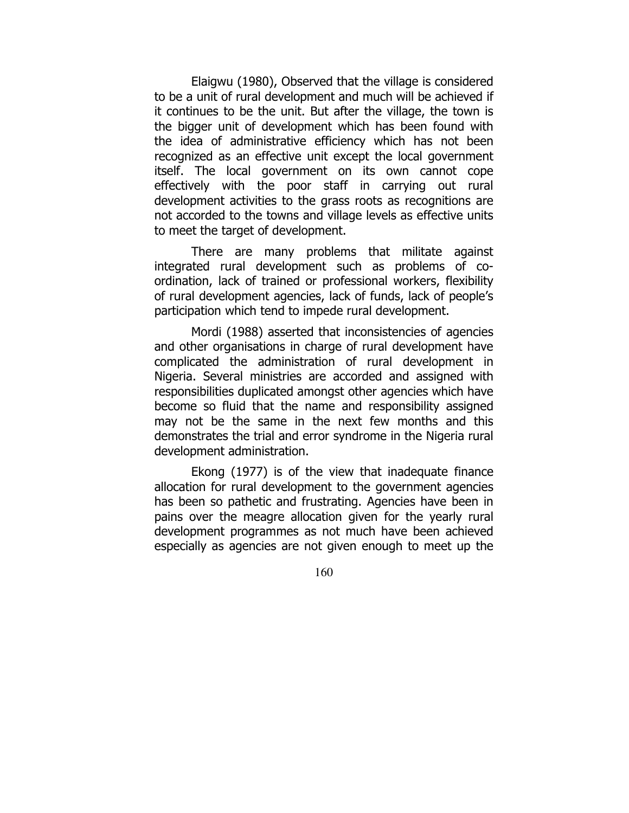Elaigwu (1980), Observed that the village is considered to be a unit of rural development and much will be achieved if it continues to be the unit. But after the village, the town is the bigger unit of development which has been found with the idea of administrative efficiency which has not been recognized as an effective unit except the local government itself. The local government on its own cannot cope effectively with the poor staff in carrying out rural development activities to the grass roots as recognitions are not accorded to the towns and village levels as effective units to meet the target of development.

 There are many problems that militate against integrated rural development such as problems of coordination, lack of trained or professional workers, flexibility of rural development agencies, lack of funds, lack of people's participation which tend to impede rural development.

 Mordi (1988) asserted that inconsistencies of agencies and other organisations in charge of rural development have complicated the administration of rural development in Nigeria. Several ministries are accorded and assigned with responsibilities duplicated amongst other agencies which have become so fluid that the name and responsibility assigned may not be the same in the next few months and this demonstrates the trial and error syndrome in the Nigeria rural development administration.

 Ekong (1977) is of the view that inadequate finance allocation for rural development to the government agencies has been so pathetic and frustrating. Agencies have been in pains over the meagre allocation given for the yearly rural development programmes as not much have been achieved especially as agencies are not given enough to meet up the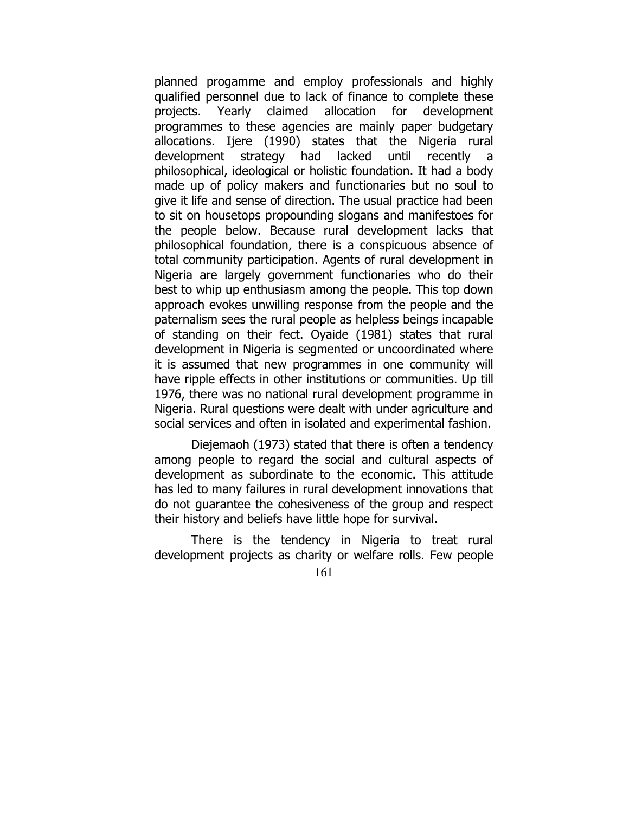planned progamme and employ professionals and highly qualified personnel due to lack of finance to complete these projects. Yearly claimed allocation for development programmes to these agencies are mainly paper budgetary allocations. Ijere (1990) states that the Nigeria rural development strategy had lacked until recently a philosophical, ideological or holistic foundation. It had a body made up of policy makers and functionaries but no soul to give it life and sense of direction. The usual practice had been to sit on housetops propounding slogans and manifestoes for the people below. Because rural development lacks that philosophical foundation, there is a conspicuous absence of total community participation. Agents of rural development in Nigeria are largely government functionaries who do their best to whip up enthusiasm among the people. This top down approach evokes unwilling response from the people and the paternalism sees the rural people as helpless beings incapable of standing on their fect. Oyaide (1981) states that rural development in Nigeria is segmented or uncoordinated where it is assumed that new programmes in one community will have ripple effects in other institutions or communities. Up till 1976, there was no national rural development programme in Nigeria. Rural questions were dealt with under agriculture and social services and often in isolated and experimental fashion.

 Diejemaoh (1973) stated that there is often a tendency among people to regard the social and cultural aspects of development as subordinate to the economic. This attitude has led to many failures in rural development innovations that do not guarantee the cohesiveness of the group and respect their history and beliefs have little hope for survival.

 There is the tendency in Nigeria to treat rural development projects as charity or welfare rolls. Few people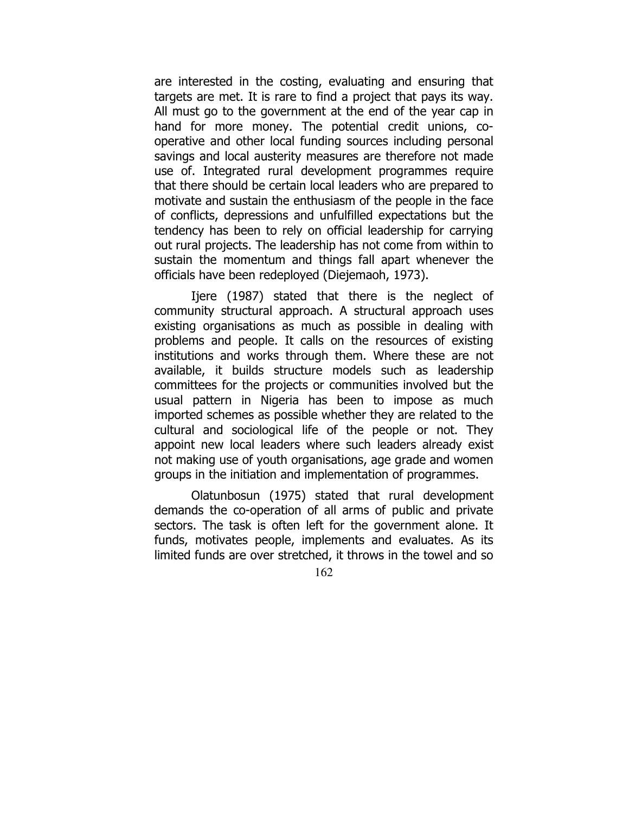are interested in the costing, evaluating and ensuring that targets are met. It is rare to find a project that pays its way. All must go to the government at the end of the year cap in hand for more money. The potential credit unions, cooperative and other local funding sources including personal savings and local austerity measures are therefore not made use of. Integrated rural development programmes require that there should be certain local leaders who are prepared to motivate and sustain the enthusiasm of the people in the face of conflicts, depressions and unfulfilled expectations but the tendency has been to rely on official leadership for carrying out rural projects. The leadership has not come from within to sustain the momentum and things fall apart whenever the officials have been redeployed (Diejemaoh, 1973).

Ijere (1987) stated that there is the neglect of community structural approach. A structural approach uses existing organisations as much as possible in dealing with problems and people. It calls on the resources of existing institutions and works through them. Where these are not available, it builds structure models such as leadership committees for the projects or communities involved but the usual pattern in Nigeria has been to impose as much imported schemes as possible whether they are related to the cultural and sociological life of the people or not. They appoint new local leaders where such leaders already exist not making use of youth organisations, age grade and women groups in the initiation and implementation of programmes.

 Olatunbosun (1975) stated that rural development demands the co-operation of all arms of public and private sectors. The task is often left for the government alone. It funds, motivates people, implements and evaluates. As its limited funds are over stretched, it throws in the towel and so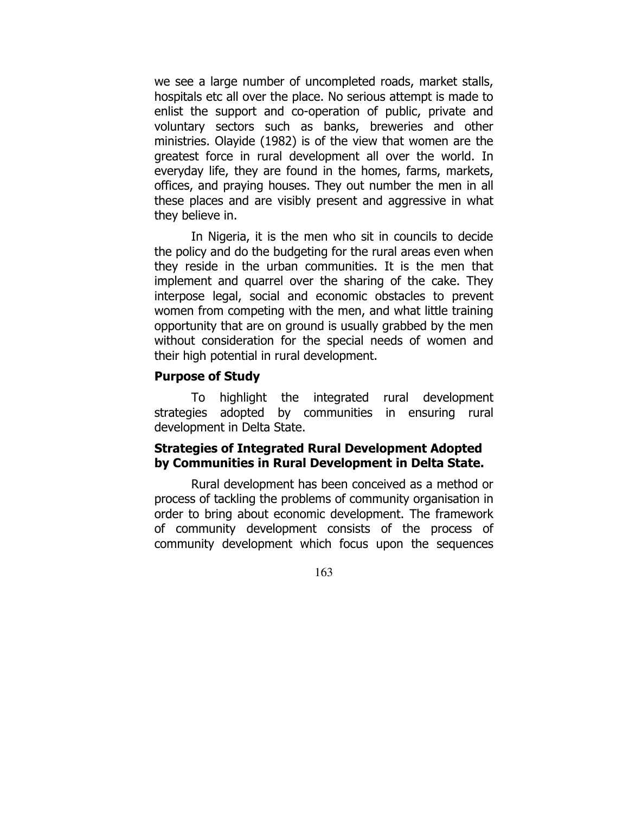we see a large number of uncompleted roads, market stalls, hospitals etc all over the place. No serious attempt is made to enlist the support and co-operation of public, private and voluntary sectors such as banks, breweries and other ministries. Olayide (1982) is of the view that women are the greatest force in rural development all over the world. In everyday life, they are found in the homes, farms, markets, offices, and praying houses. They out number the men in all these places and are visibly present and aggressive in what they believe in.

 In Nigeria, it is the men who sit in councils to decide the policy and do the budgeting for the rural areas even when they reside in the urban communities. It is the men that implement and quarrel over the sharing of the cake. They interpose legal, social and economic obstacles to prevent women from competing with the men, and what little training opportunity that are on ground is usually grabbed by the men without consideration for the special needs of women and their high potential in rural development.

#### Purpose of Study

 To highlight the integrated rural development strategies adopted by communities in ensuring rural development in Delta State.

## Strategies of Integrated Rural Development Adopted by Communities in Rural Development in Delta State.

 Rural development has been conceived as a method or process of tackling the problems of community organisation in order to bring about economic development. The framework of community development consists of the process of community development which focus upon the sequences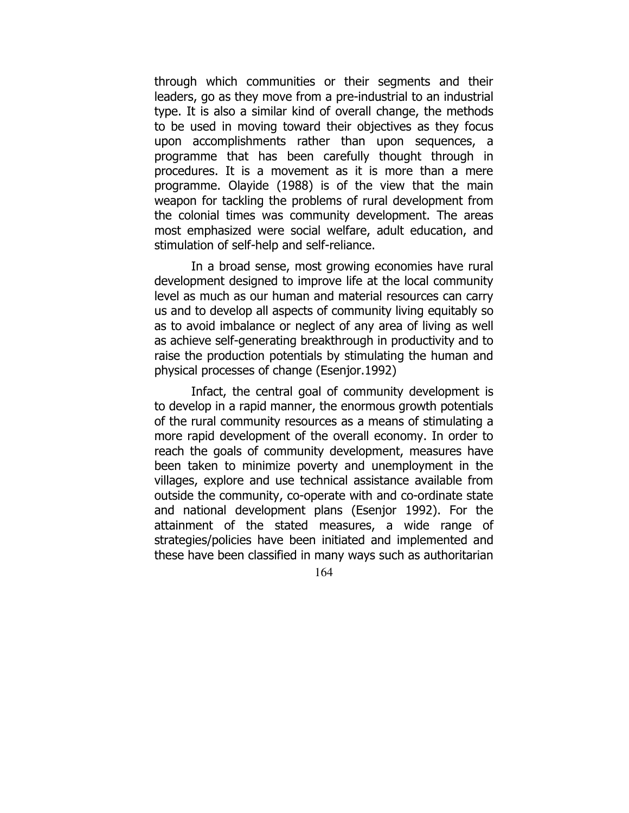through which communities or their segments and their leaders, go as they move from a pre-industrial to an industrial type. It is also a similar kind of overall change, the methods to be used in moving toward their objectives as they focus upon accomplishments rather than upon sequences, a programme that has been carefully thought through in procedures. It is a movement as it is more than a mere programme. Olayide (1988) is of the view that the main weapon for tackling the problems of rural development from the colonial times was community development. The areas most emphasized were social welfare, adult education, and stimulation of self-help and self-reliance.

 In a broad sense, most growing economies have rural development designed to improve life at the local community level as much as our human and material resources can carry us and to develop all aspects of community living equitably so as to avoid imbalance or neglect of any area of living as well as achieve self-generating breakthrough in productivity and to raise the production potentials by stimulating the human and physical processes of change (Esenjor.1992)

 Infact, the central goal of community development is to develop in a rapid manner, the enormous growth potentials of the rural community resources as a means of stimulating a more rapid development of the overall economy. In order to reach the goals of community development, measures have been taken to minimize poverty and unemployment in the villages, explore and use technical assistance available from outside the community, co-operate with and co-ordinate state and national development plans (Esenjor 1992). For the attainment of the stated measures, a wide range of strategies/policies have been initiated and implemented and these have been classified in many ways such as authoritarian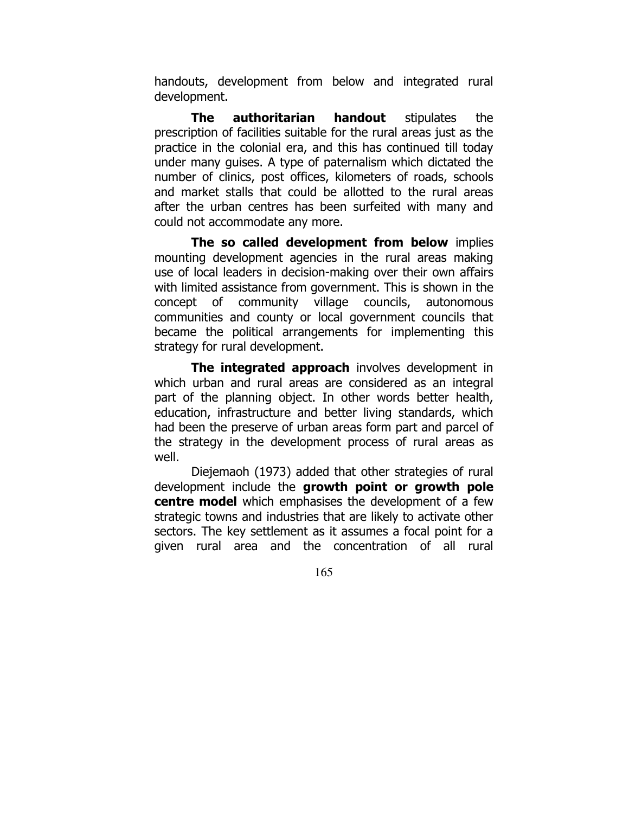handouts, development from below and integrated rural development.

**The authoritarian handout** stipulates the prescription of facilities suitable for the rural areas just as the practice in the colonial era, and this has continued till today under many guises. A type of paternalism which dictated the number of clinics, post offices, kilometers of roads, schools and market stalls that could be allotted to the rural areas after the urban centres has been surfeited with many and could not accommodate any more.

The so called development from below implies mounting development agencies in the rural areas making use of local leaders in decision-making over their own affairs with limited assistance from government. This is shown in the concept of community village councils, autonomous communities and county or local government councils that became the political arrangements for implementing this strategy for rural development.

The integrated approach involves development in which urban and rural areas are considered as an integral part of the planning object. In other words better health, education, infrastructure and better living standards, which had been the preserve of urban areas form part and parcel of the strategy in the development process of rural areas as well.

 Diejemaoh (1973) added that other strategies of rural development include the growth point or growth pole **centre model** which emphasises the development of a few strategic towns and industries that are likely to activate other sectors. The key settlement as it assumes a focal point for a given rural area and the concentration of all rural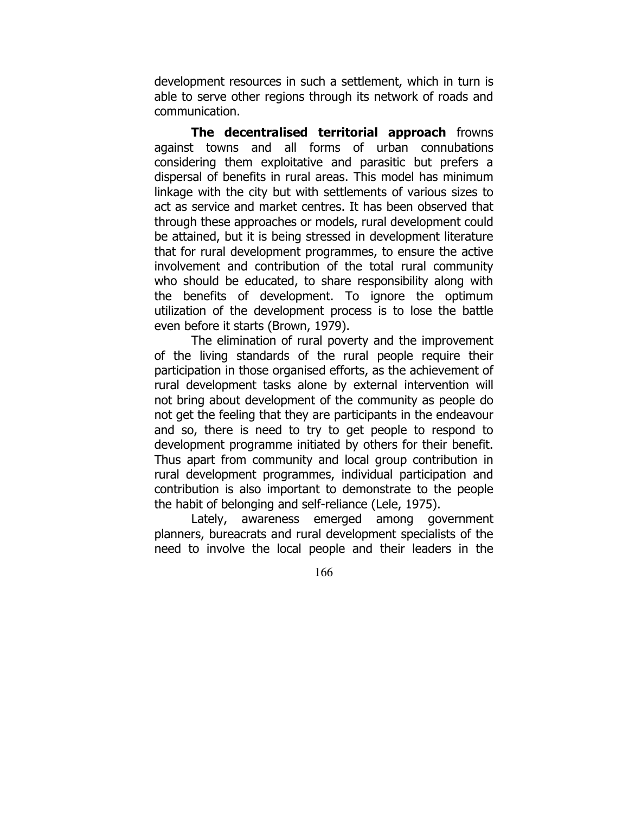development resources in such a settlement, which in turn is able to serve other regions through its network of roads and communication.

The decentralised territorial approach frowns against towns and all forms of urban connubations considering them exploitative and parasitic but prefers a dispersal of benefits in rural areas. This model has minimum linkage with the city but with settlements of various sizes to act as service and market centres. It has been observed that through these approaches or models, rural development could be attained, but it is being stressed in development literature that for rural development programmes, to ensure the active involvement and contribution of the total rural community who should be educated, to share responsibility along with the benefits of development. To ignore the optimum utilization of the development process is to lose the battle even before it starts (Brown, 1979).

 The elimination of rural poverty and the improvement of the living standards of the rural people require their participation in those organised efforts, as the achievement of rural development tasks alone by external intervention will not bring about development of the community as people do not get the feeling that they are participants in the endeavour and so, there is need to try to get people to respond to development programme initiated by others for their benefit. Thus apart from community and local group contribution in rural development programmes, individual participation and contribution is also important to demonstrate to the people the habit of belonging and self-reliance (Lele, 1975).

 Lately, awareness emerged among government planners, bureacrats and rural development specialists of the need to involve the local people and their leaders in the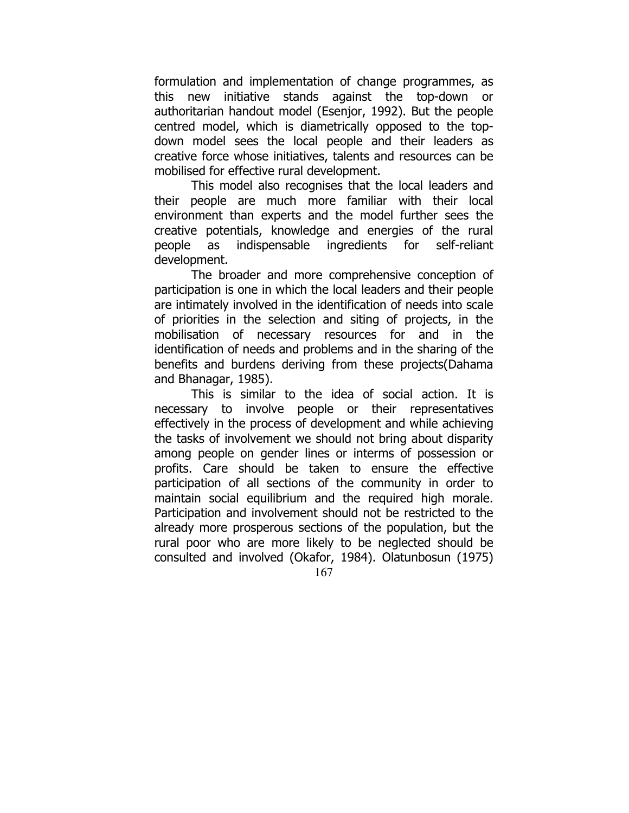formulation and implementation of change programmes, as this new initiative stands against the top-down or authoritarian handout model (Esenjor, 1992). But the people centred model, which is diametrically opposed to the topdown model sees the local people and their leaders as creative force whose initiatives, talents and resources can be mobilised for effective rural development.

 This model also recognises that the local leaders and their people are much more familiar with their local environment than experts and the model further sees the creative potentials, knowledge and energies of the rural people as indispensable ingredients for self-reliant development.

 The broader and more comprehensive conception of participation is one in which the local leaders and their people are intimately involved in the identification of needs into scale of priorities in the selection and siting of projects, in the mobilisation of necessary resources for and in the identification of needs and problems and in the sharing of the benefits and burdens deriving from these projects(Dahama and Bhanagar, 1985).

167 This is similar to the idea of social action. It is necessary to involve people or their representatives effectively in the process of development and while achieving the tasks of involvement we should not bring about disparity among people on gender lines or interms of possession or profits. Care should be taken to ensure the effective participation of all sections of the community in order to maintain social equilibrium and the required high morale. Participation and involvement should not be restricted to the already more prosperous sections of the population, but the rural poor who are more likely to be neglected should be consulted and involved (Okafor, 1984). Olatunbosun (1975)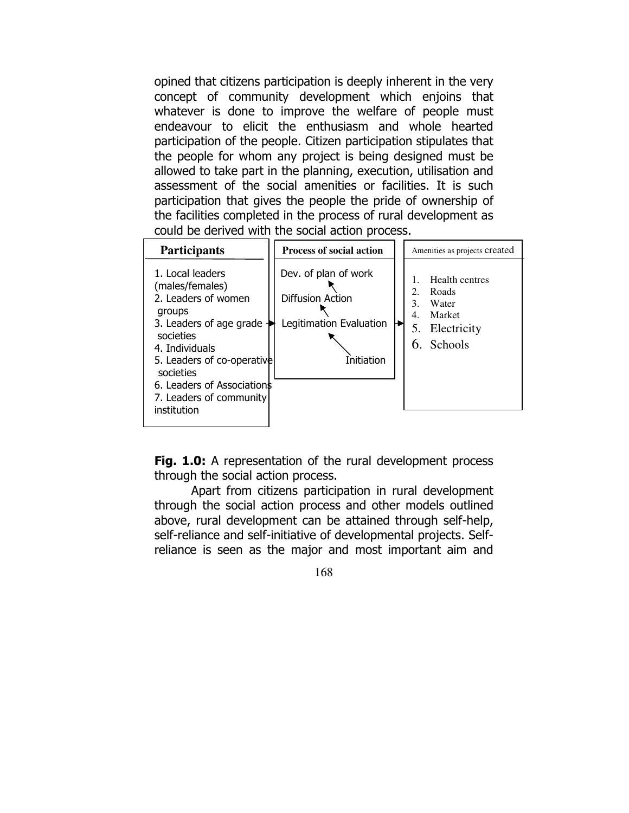opined that citizens participation is deeply inherent in the very concept of community development which enjoins that whatever is done to improve the welfare of people must endeavour to elicit the enthusiasm and whole hearted participation of the people. Citizen participation stipulates that the people for whom any project is being designed must be allowed to take part in the planning, execution, utilisation and assessment of the social amenities or facilities. It is such participation that gives the people the pride of ownership of the facilities completed in the process of rural development as could be derived with the social action process.



Fig. 1.0: A representation of the rural development process through the social action process.

 Apart from citizens participation in rural development through the social action process and other models outlined above, rural development can be attained through self-help, self-reliance and self-initiative of developmental projects. Selfreliance is seen as the major and most important aim and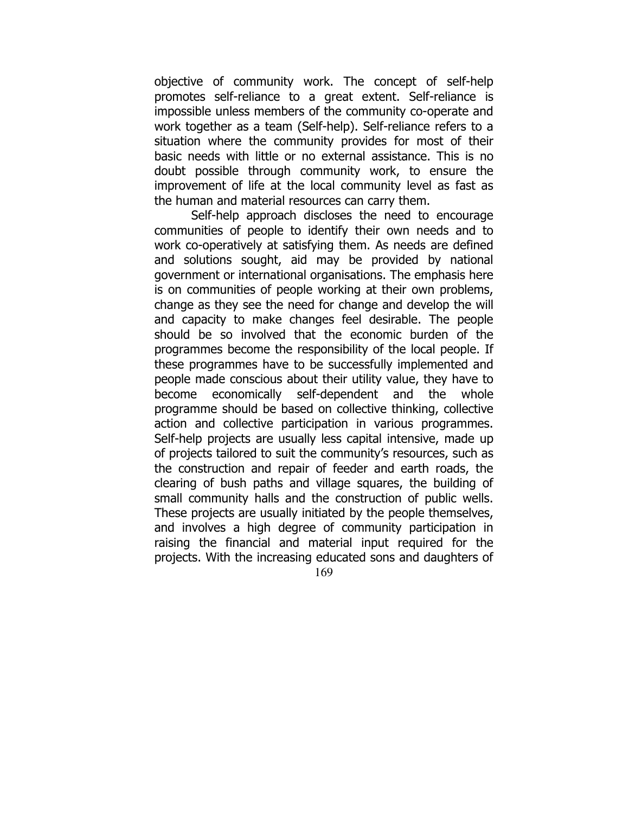objective of community work. The concept of self-help promotes self-reliance to a great extent. Self-reliance is impossible unless members of the community co-operate and work together as a team (Self-help). Self-reliance refers to a situation where the community provides for most of their basic needs with little or no external assistance. This is no doubt possible through community work, to ensure the improvement of life at the local community level as fast as the human and material resources can carry them.

 Self-help approach discloses the need to encourage communities of people to identify their own needs and to work co-operatively at satisfying them. As needs are defined and solutions sought, aid may be provided by national government or international organisations. The emphasis here is on communities of people working at their own problems, change as they see the need for change and develop the will and capacity to make changes feel desirable. The people should be so involved that the economic burden of the programmes become the responsibility of the local people. If these programmes have to be successfully implemented and people made conscious about their utility value, they have to become economically self-dependent and the whole programme should be based on collective thinking, collective action and collective participation in various programmes. Self-help projects are usually less capital intensive, made up of projects tailored to suit the community's resources, such as the construction and repair of feeder and earth roads, the clearing of bush paths and village squares, the building of small community halls and the construction of public wells. These projects are usually initiated by the people themselves, and involves a high degree of community participation in raising the financial and material input required for the projects. With the increasing educated sons and daughters of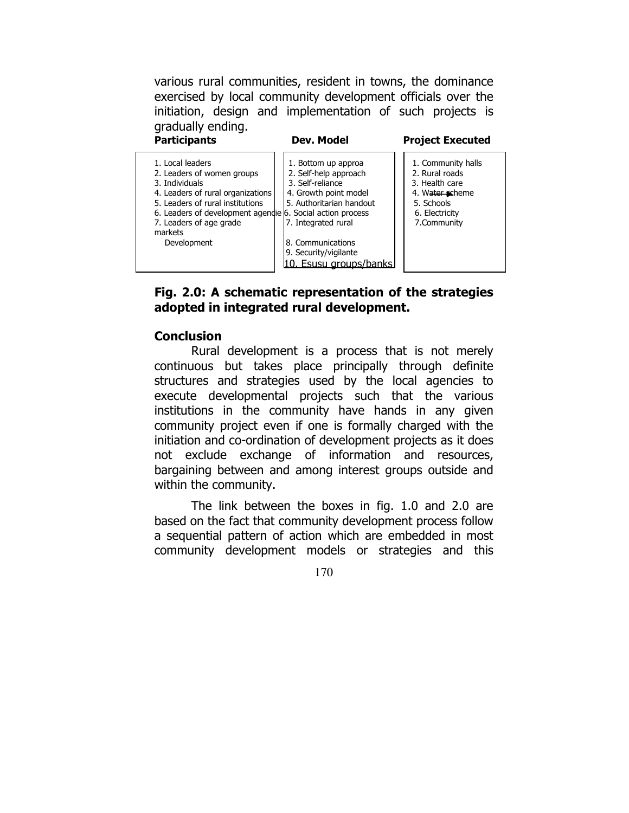various rural communities, resident in towns, the dominance exercised by local community development officials over the initiation, design and implementation of such projects is gradually ending.



# Fig. 2.0: A schematic representation of the strategies adopted in integrated rural development.

# **Conclusion**

 Rural development is a process that is not merely continuous but takes place principally through definite structures and strategies used by the local agencies to execute developmental projects such that the various institutions in the community have hands in any given community project even if one is formally charged with the initiation and co-ordination of development projects as it does not exclude exchange of information and resources, bargaining between and among interest groups outside and within the community.

 The link between the boxes in fig. 1.0 and 2.0 are based on the fact that community development process follow a sequential pattern of action which are embedded in most community development models or strategies and this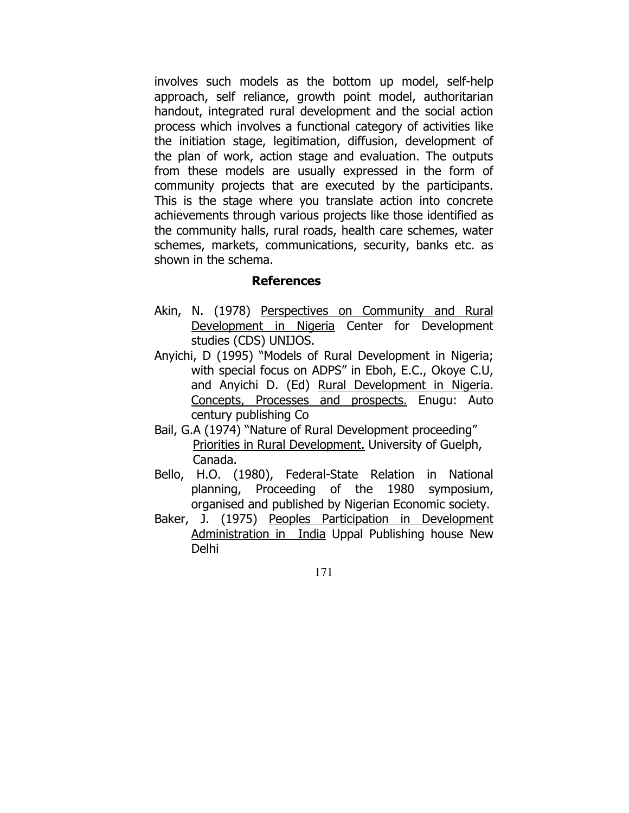involves such models as the bottom up model, self-help approach, self reliance, growth point model, authoritarian handout, integrated rural development and the social action process which involves a functional category of activities like the initiation stage, legitimation, diffusion, development of the plan of work, action stage and evaluation. The outputs from these models are usually expressed in the form of community projects that are executed by the participants. This is the stage where you translate action into concrete achievements through various projects like those identified as the community halls, rural roads, health care schemes, water schemes, markets, communications, security, banks etc. as shown in the schema.

### References

- Akin, N. (1978) Perspectives on Community and Rural Development in Nigeria Center for Development studies (CDS) UNIJOS.
- Anyichi, D (1995) "Models of Rural Development in Nigeria; with special focus on ADPS" in Eboh, E.C., Okoye C.U, and Anyichi D. (Ed) Rural Development in Nigeria. Concepts, Processes and prospects. Enugu: Auto century publishing Co
- Bail, G.A (1974) "Nature of Rural Development proceeding" Priorities in Rural Development. University of Guelph, Canada.
- Bello, H.O. (1980), Federal-State Relation in National planning, Proceeding of the 1980 symposium, organised and published by Nigerian Economic society.
- Baker, J. (1975) Peoples Participation in Development Administration in India Uppal Publishing house New Delhi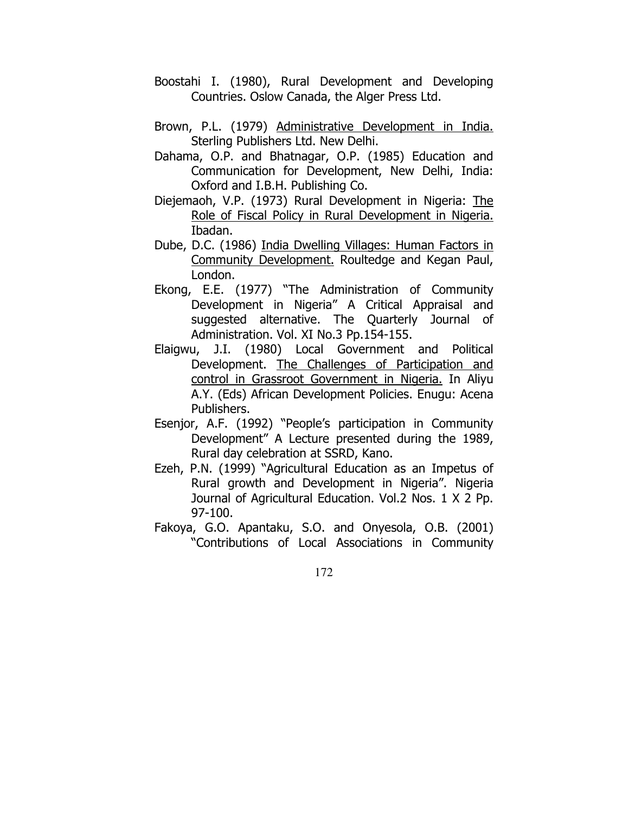- Boostahi I. (1980), Rural Development and Developing Countries. Oslow Canada, the Alger Press Ltd.
- Brown, P.L. (1979) Administrative Development in India. Sterling Publishers Ltd. New Delhi.
- Dahama, O.P. and Bhatnagar, O.P. (1985) Education and Communication for Development, New Delhi, India: Oxford and I.B.H. Publishing Co.
- Diejemaoh, V.P. (1973) Rural Development in Nigeria: The Role of Fiscal Policy in Rural Development in Nigeria. Ibadan.
- Dube, D.C. (1986) India Dwelling Villages: Human Factors in Community Development. Roultedge and Kegan Paul, London.
- Ekong, E.E. (1977) "The Administration of Community Development in Nigeria" A Critical Appraisal and suggested alternative. The Quarterly Journal of Administration. Vol. XI No.3 Pp.154-155.
- Elaigwu, J.I. (1980) Local Government and Political Development. The Challenges of Participation and control in Grassroot Government in Nigeria. In Aliyu A.Y. (Eds) African Development Policies. Enugu: Acena Publishers.
- Esenjor, A.F. (1992) "People's participation in Community Development" A Lecture presented during the 1989, Rural day celebration at SSRD, Kano.
- Ezeh, P.N. (1999) "Agricultural Education as an Impetus of Rural growth and Development in Nigeria". Nigeria Journal of Agricultural Education. Vol.2 Nos. 1 X 2 Pp. 97-100.
- Fakoya, G.O. Apantaku, S.O. and Onyesola, O.B. (2001) "Contributions of Local Associations in Community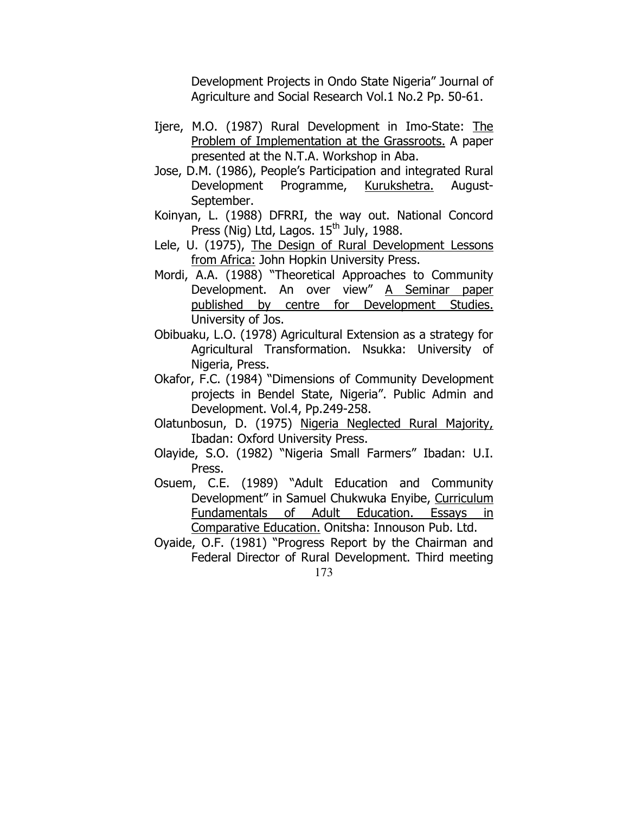Development Projects in Ondo State Nigeria" Journal of Agriculture and Social Research Vol.1 No.2 Pp. 50-61.

- Ijere, M.O. (1987) Rural Development in Imo-State: The Problem of Implementation at the Grassroots. A paper presented at the N.T.A. Workshop in Aba.
- Jose, D.M. (1986), People's Participation and integrated Rural Development Programme, Kurukshetra. August-September.
- Koinyan, L. (1988) DFRRI, the way out. National Concord Press (Nig) Ltd, Lagos.  $15<sup>th</sup>$  July, 1988.
- Lele, U. (1975), The Design of Rural Development Lessons from Africa: John Hopkin University Press.
- Mordi, A.A. (1988) "Theoretical Approaches to Community Development. An over view" A Seminar paper published by centre for Development Studies. University of Jos.
- Obibuaku, L.O. (1978) Agricultural Extension as a strategy for Agricultural Transformation. Nsukka: University of Nigeria, Press.
- Okafor, F.C. (1984) "Dimensions of Community Development projects in Bendel State, Nigeria". Public Admin and Development. Vol.4, Pp.249-258.
- Olatunbosun, D. (1975) Nigeria Neglected Rural Majority, Ibadan: Oxford University Press.
- Olayide, S.O. (1982) "Nigeria Small Farmers" Ibadan: U.I. Press.
- Osuem, C.E. (1989) "Adult Education and Community Development" in Samuel Chukwuka Enyibe, Curriculum Fundamentals of Adult Education. Essays in Comparative Education. Onitsha: Innouson Pub. Ltd.
- 173 Oyaide, O.F. (1981) "Progress Report by the Chairman and Federal Director of Rural Development. Third meeting